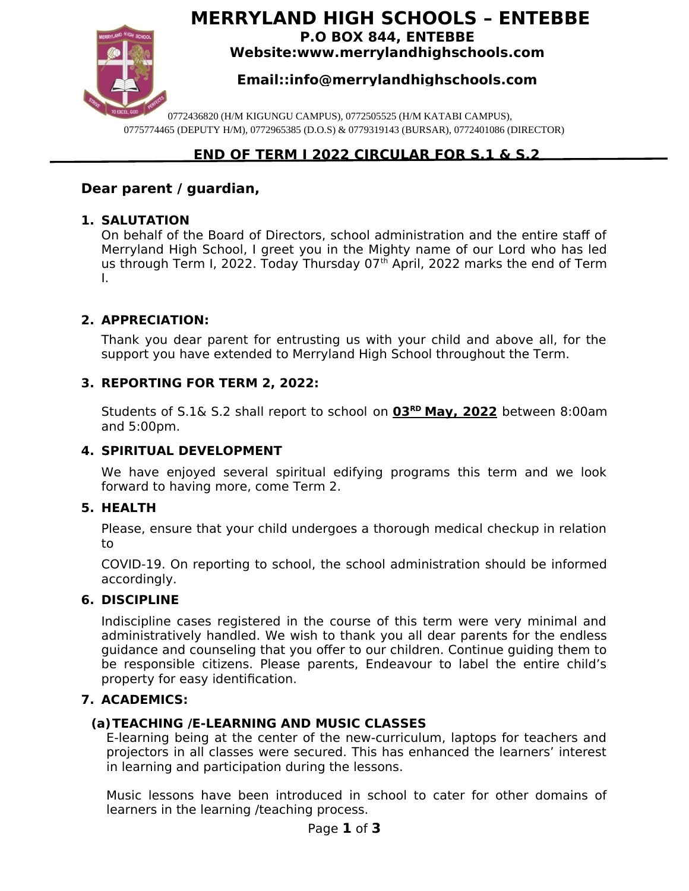

# **MERRYLAND HIGH SCHOOLS – ENTEBBE P.O BOX 844, ENTEBBE**

**Website:www.merrylandhighschools.com**

# **Email::info@merrylandhighschools.com**

0772436820 (H/M KIGUNGU CAMPUS), 0772505525 (H/M KATABI CAMPUS), 0775774465 (DEPUTY H/M), 0772965385 (D.O.S) & 0779319143 (BURSAR), 0772401086 (DIRECTOR)

# **END OF TERM I 2022 CIRCULAR FOR S.1 & S.2**

# **Dear parent / guardian,**

### **1. SALUTATION**

On behalf of the Board of Directors, school administration and the entire staff of Merryland High School, I greet you in the Mighty name of our Lord who has led us through Term I, 2022. Today Thursday 07<sup>th</sup> April, 2022 marks the end of Term I.

# **2. APPRECIATION:**

Thank you dear parent for entrusting us with your child and above all, for the support you have extended to Merryland High School throughout the Term.

### **3. REPORTING FOR TERM 2, 2022:**

Students of S.1& S.2 shall report to school on **03RD May, 2022** between 8:00am and 5:00pm.

### **4. SPIRITUAL DEVELOPMENT**

We have enjoyed several spiritual edifying programs this term and we look forward to having more, come Term 2.

#### **5. HEALTH**

Please, ensure that your child undergoes a thorough medical checkup in relation to

COVID-19. On reporting to school, the school administration should be informed accordingly.

#### **6. DISCIPLINE**

Indiscipline cases registered in the course of this term were very minimal and administratively handled. We wish to thank you all dear parents for the endless guidance and counseling that you offer to our children. Continue guiding them to be responsible citizens. Please parents, Endeavour to label the entire child's property for easy identification.

#### **7. ACADEMICS:**

# **(a)TEACHING /E-LEARNING AND MUSIC CLASSES**

E-learning being at the center of the new-curriculum, laptops for teachers and projectors in all classes were secured. This has enhanced the learners' interest in learning and participation during the lessons.

Music lessons have been introduced in school to cater for other domains of learners in the learning /teaching process.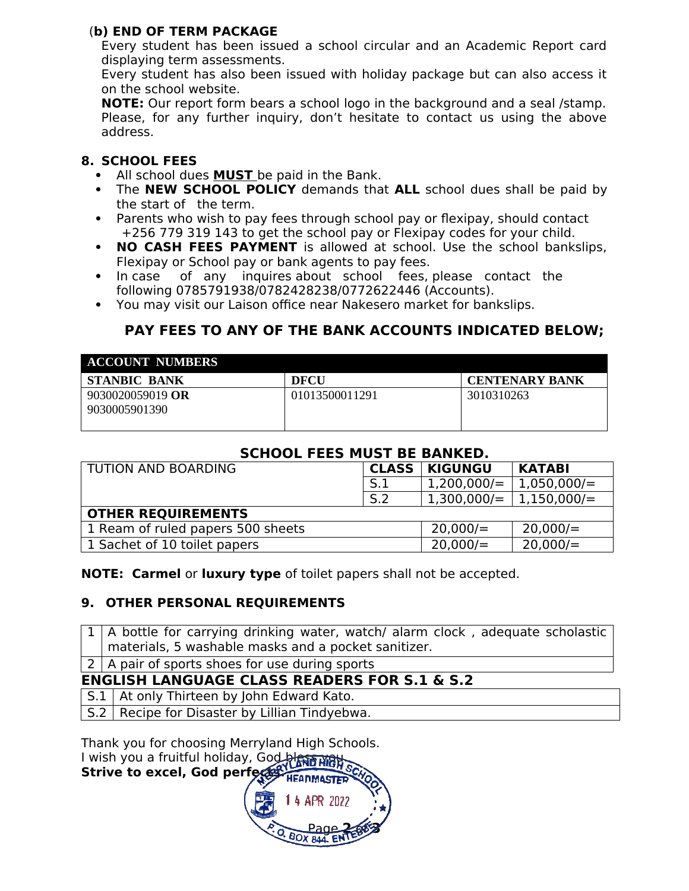# (**b) END OF TERM PACKAGE**

Every student has been issued a school circular and an Academic Report card displaying term assessments.

Every student has also been issued with holiday package but can also access it on the school website.

**NOTE:** Our report form bears a school logo in the background and a seal /stamp. Please, for any further inquiry, don't hesitate to contact us using the above address.

# **8. SCHOOL FEES**

- All school dues **MUST** be paid in the Bank.
- The **NEW SCHOOL POLICY** demands that **ALL** school dues shall be paid by the start of the term.
- Parents who wish to pay fees through school pay or flexipay, should contact +256 779 319 143 to get the school pay or Flexipay codes for your child.
- **NO CASH FEES PAYMENT** is allowed at school. Use the school bankslips, Flexipay or School pay or bank agents to pay fees.
- In case of any inquires about school fees, please contact the following 0785791938/0782428238/0772622446 (Accounts).
- You may visit our Laison office near Nakesero market for bankslips.

# **PAY FEES TO ANY OF THE BANK ACCOUNTS INDICATED BELOW;**

| <b>ACCOUNT NUMBERS</b>            |                |                       |  |  |
|-----------------------------------|----------------|-----------------------|--|--|
| STANBIC BANK                      | <b>DECU</b>    | <b>CENTENARY BANK</b> |  |  |
| 9030020059019 OR<br>9030005901390 | 01013500011291 | 3010310263            |  |  |

### **SCHOOL FEES MUST BE BANKED.**

| <b>TUTION AND BOARDING</b>        | <b>CLASS</b> | <b>KIGUNGU</b> | <b>KATABI</b> |  |
|-----------------------------------|--------------|----------------|---------------|--|
|                                   | S.1          | 1,200,000/     | 1,050,000/    |  |
|                                   | S.2          | $1,300,000/=$  | 1,150,000/    |  |
| <b>OTHER REQUIREMENTS</b>         |              |                |               |  |
| 1 Ream of ruled papers 500 sheets |              | 20,000/        | 20,000/       |  |
| 1 Sachet of 10 toilet papers      |              | 20,000/        | 20,000/       |  |

**NOTE: Carmel** or **luxury type** of toilet papers shall not be accepted.

# **9. OTHER PERSONAL REQUIREMENTS**

 $1 \mid A$  bottle for carrying drinking water, watch/ alarm clock, adequate scholastic materials, 5 washable masks and a pocket sanitizer.  $2$  A pair of sports shoes for use during sports **ENGLISH LANGUAGE CLASS READERS FOR S.1 & S.2**  $S.1$  At only Thirteen by John Edward Kato. S.2 Recipe for Disaster by Lillian Tindyebwa.

Thank you for choosing Merryland High Schools. I wish you a fruitful holiday, God bless was **Strive to excel, God perfects.**